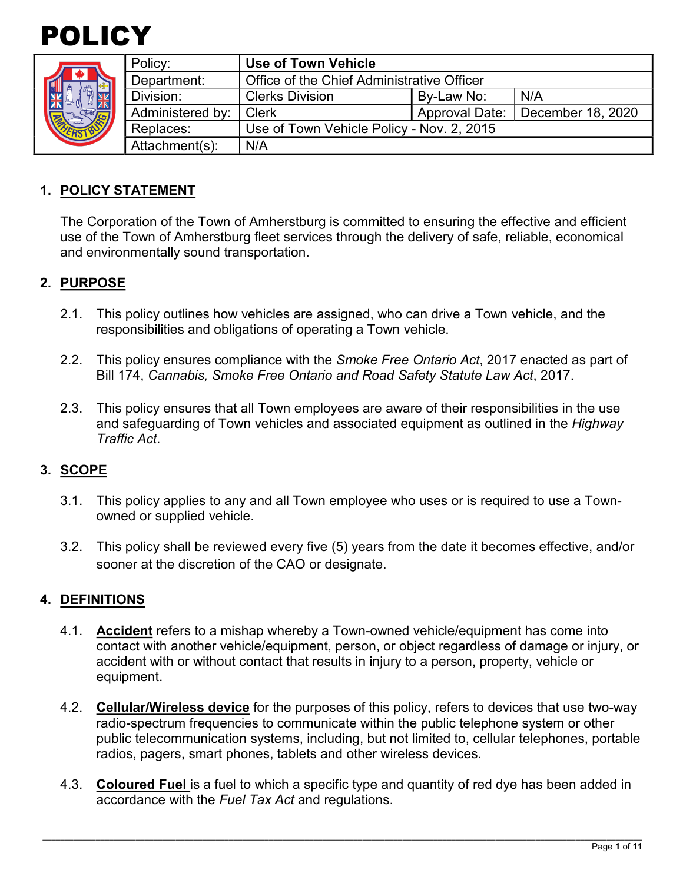



|  | Policy:          | Use of Town Vehicle                        |            |                                    |
|--|------------------|--------------------------------------------|------------|------------------------------------|
|  | Department:      | Office of the Chief Administrative Officer |            |                                    |
|  | Division:        | <b>Clerks Division</b>                     | By-Law No: | N/A                                |
|  | Administered by: | <b>Clerk</b>                               |            | Approval Date:   December 18, 2020 |
|  | Replaces:        | Use of Town Vehicle Policy - Nov. 2, 2015  |            |                                    |
|  | Attachment(s):   | N/A                                        |            |                                    |

## **1. POLICY STATEMENT**

The Corporation of the Town of Amherstburg is committed to ensuring the effective and efficient use of the Town of Amherstburg fleet services through the delivery of safe, reliable, economical and environmentally sound transportation.

#### **2. PURPOSE**

- 2.1. This policy outlines how vehicles are assigned, who can drive a Town vehicle, and the responsibilities and obligations of operating a Town vehicle.
- 2.2. This policy ensures compliance with the *Smoke Free Ontario Act*, 2017 enacted as part of Bill 174, *Cannabis, Smoke Free Ontario and Road Safety Statute Law Act*, 2017.
- 2.3. This policy ensures that all Town employees are aware of their responsibilities in the use and safeguarding of Town vehicles and associated equipment as outlined in the *Highway Traffic Act*.

#### **3. SCOPE**

- 3.1. This policy applies to any and all Town employee who uses or is required to use a Townowned or supplied vehicle.
- 3.2. This policy shall be reviewed every five (5) years from the date it becomes effective, and/or sooner at the discretion of the CAO or designate.

#### **4. DEFINITIONS**

- 4.1. **Accident** refers to a mishap whereby a Town-owned vehicle/equipment has come into contact with another vehicle/equipment, person, or object regardless of damage or injury, or accident with or without contact that results in injury to a person, property, vehicle or equipment.
- 4.2. **Cellular/Wireless device** for the purposes of this policy, refers to devices that use two-way radio-spectrum frequencies to communicate within the public telephone system or other public telecommunication systems, including, but not limited to, cellular telephones, portable radios, pagers, smart phones, tablets and other wireless devices.
- 4.3. **Coloured Fuel** is a fuel to which a specific type and quantity of red dye has been added in accordance with the *Fuel Tax Act* and regulations.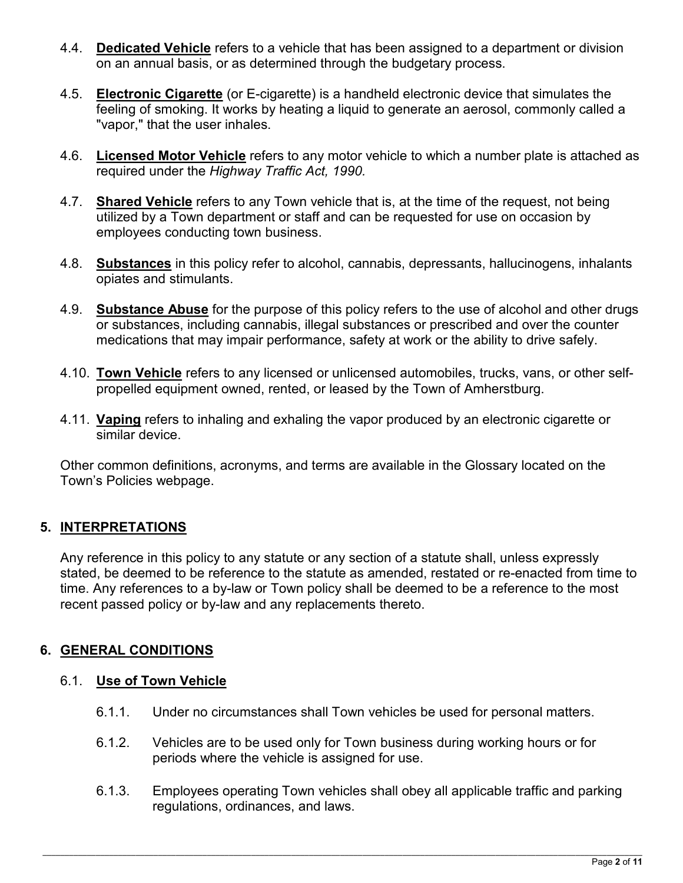- 4.4. **Dedicated Vehicle** refers to a vehicle that has been assigned to a department or division on an annual basis, or as determined through the budgetary process.
- 4.5. **Electronic Cigarette** (or E-cigarette) is a handheld electronic device that simulates the feeling of smoking. It works by heating a liquid to generate an aerosol, commonly called a "vapor," that the user inhales.
- 4.6. **Licensed Motor Vehicle** refers to any motor vehicle to which a number plate is attached as required under the *Highway Traffic Act, 1990.*
- 4.7. **Shared Vehicle** refers to any Town vehicle that is, at the time of the request, not being utilized by a Town department or staff and can be requested for use on occasion by employees conducting town business.
- 4.8. **Substances** in this policy refer to alcohol, cannabis, depressants, hallucinogens, inhalants opiates and stimulants.
- 4.9. **Substance Abuse** for the purpose of this policy refers to the use of alcohol and other drugs or substances, including cannabis, illegal substances or prescribed and over the counter medications that may impair performance, safety at work or the ability to drive safely.
- 4.10. **Town Vehicle** refers to any licensed or unlicensed automobiles, trucks, vans, or other selfpropelled equipment owned, rented, or leased by the Town of Amherstburg.
- 4.11. **Vaping** refers to inhaling and exhaling the vapor produced by an electronic cigarette or similar device.

Other common definitions, acronyms, and terms are available in the Glossary located on the Town's Policies webpage.

## **5. INTERPRETATIONS**

Any reference in this policy to any statute or any section of a statute shall, unless expressly stated, be deemed to be reference to the statute as amended, restated or re-enacted from time to time. Any references to a by-law or Town policy shall be deemed to be a reference to the most recent passed policy or by-law and any replacements thereto.

# **6. GENERAL CONDITIONS**

#### 6.1. **Use of Town Vehicle**

- 6.1.1. Under no circumstances shall Town vehicles be used for personal matters.
- 6.1.2. Vehicles are to be used only for Town business during working hours or for periods where the vehicle is assigned for use.
- 6.1.3. Employees operating Town vehicles shall obey all applicable traffic and parking regulations, ordinances, and laws.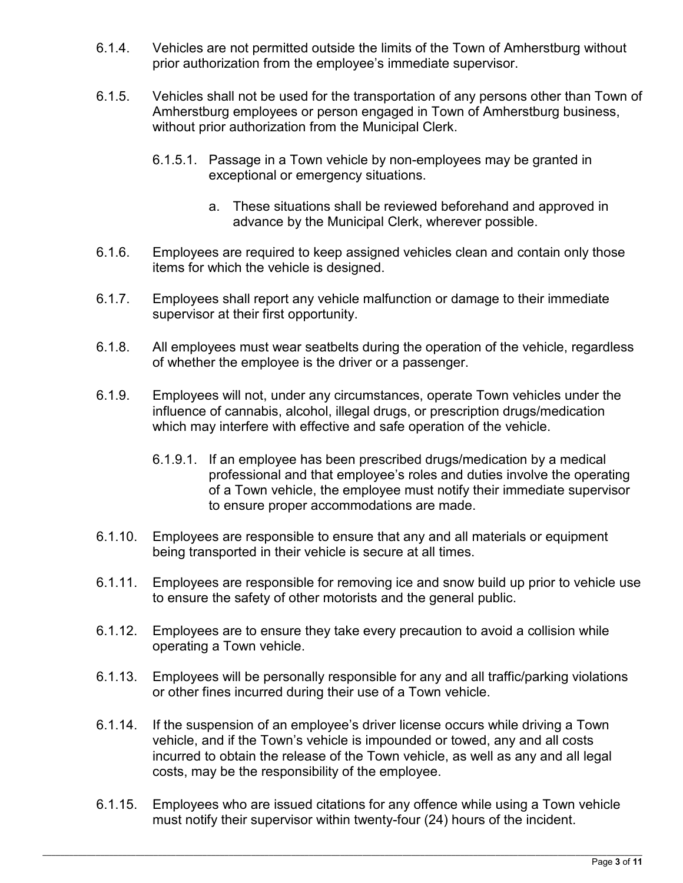- 6.1.4. Vehicles are not permitted outside the limits of the Town of Amherstburg without prior authorization from the employee's immediate supervisor.
- 6.1.5. Vehicles shall not be used for the transportation of any persons other than Town of Amherstburg employees or person engaged in Town of Amherstburg business, without prior authorization from the Municipal Clerk.
	- 6.1.5.1. Passage in a Town vehicle by non-employees may be granted in exceptional or emergency situations.
		- a. These situations shall be reviewed beforehand and approved in advance by the Municipal Clerk, wherever possible.
- 6.1.6. Employees are required to keep assigned vehicles clean and contain only those items for which the vehicle is designed.
- 6.1.7. Employees shall report any vehicle malfunction or damage to their immediate supervisor at their first opportunity.
- 6.1.8. All employees must wear seatbelts during the operation of the vehicle, regardless of whether the employee is the driver or a passenger.
- 6.1.9. Employees will not, under any circumstances, operate Town vehicles under the influence of cannabis, alcohol, illegal drugs, or prescription drugs/medication which may interfere with effective and safe operation of the vehicle.
	- 6.1.9.1. If an employee has been prescribed drugs/medication by a medical professional and that employee's roles and duties involve the operating of a Town vehicle, the employee must notify their immediate supervisor to ensure proper accommodations are made.
- 6.1.10. Employees are responsible to ensure that any and all materials or equipment being transported in their vehicle is secure at all times.
- 6.1.11. Employees are responsible for removing ice and snow build up prior to vehicle use to ensure the safety of other motorists and the general public.
- 6.1.12. Employees are to ensure they take every precaution to avoid a collision while operating a Town vehicle.
- 6.1.13. Employees will be personally responsible for any and all traffic/parking violations or other fines incurred during their use of a Town vehicle.
- 6.1.14. If the suspension of an employee's driver license occurs while driving a Town vehicle, and if the Town's vehicle is impounded or towed, any and all costs incurred to obtain the release of the Town vehicle, as well as any and all legal costs, may be the responsibility of the employee.
- 6.1.15. Employees who are issued citations for any offence while using a Town vehicle must notify their supervisor within twenty-four (24) hours of the incident.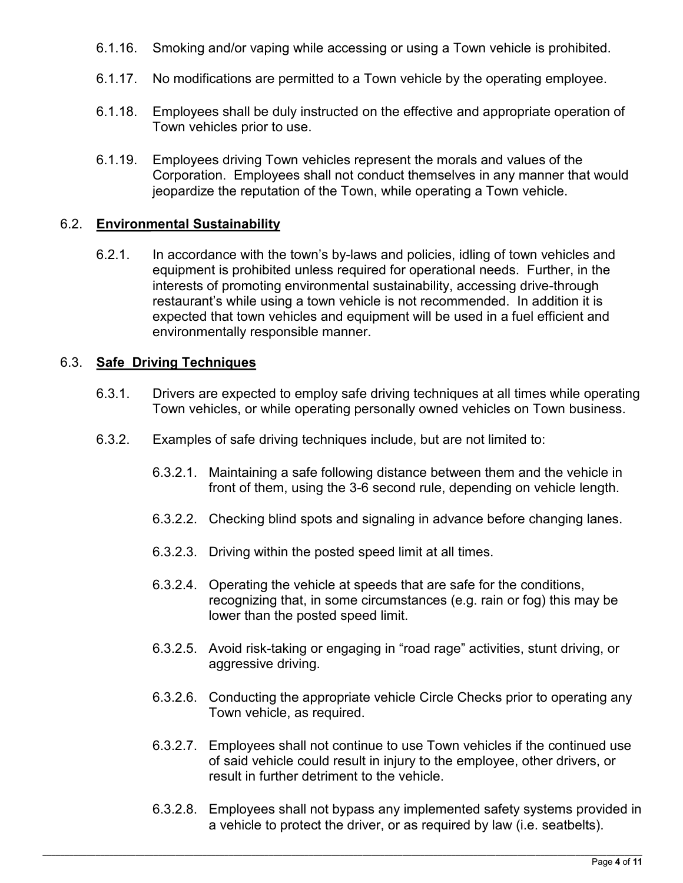- 6.1.16. Smoking and/or vaping while accessing or using a Town vehicle is prohibited.
- 6.1.17. No modifications are permitted to a Town vehicle by the operating employee.
- 6.1.18. Employees shall be duly instructed on the effective and appropriate operation of Town vehicles prior to use.
- 6.1.19. Employees driving Town vehicles represent the morals and values of the Corporation. Employees shall not conduct themselves in any manner that would jeopardize the reputation of the Town, while operating a Town vehicle.

## 6.2. **Environmental Sustainability**

6.2.1. In accordance with the town's by-laws and policies, idling of town vehicles and equipment is prohibited unless required for operational needs. Further, in the interests of promoting environmental sustainability, accessing drive-through restaurant's while using a town vehicle is not recommended. In addition it is expected that town vehicles and equipment will be used in a fuel efficient and environmentally responsible manner.

## 6.3. **Safe Driving Techniques**

- 6.3.1. Drivers are expected to employ safe driving techniques at all times while operating Town vehicles, or while operating personally owned vehicles on Town business.
- 6.3.2. Examples of safe driving techniques include, but are not limited to:
	- 6.3.2.1. Maintaining a safe following distance between them and the vehicle in front of them, using the 3-6 second rule, depending on vehicle length.
	- 6.3.2.2. Checking blind spots and signaling in advance before changing lanes.
	- 6.3.2.3. Driving within the posted speed limit at all times.
	- 6.3.2.4. Operating the vehicle at speeds that are safe for the conditions, recognizing that, in some circumstances (e.g. rain or fog) this may be lower than the posted speed limit.
	- 6.3.2.5. Avoid risk-taking or engaging in "road rage" activities, stunt driving, or aggressive driving.
	- 6.3.2.6. Conducting the appropriate vehicle Circle Checks prior to operating any Town vehicle, as required.
	- 6.3.2.7. Employees shall not continue to use Town vehicles if the continued use of said vehicle could result in injury to the employee, other drivers, or result in further detriment to the vehicle.
	- 6.3.2.8. Employees shall not bypass any implemented safety systems provided in a vehicle to protect the driver, or as required by law (i.e. seatbelts).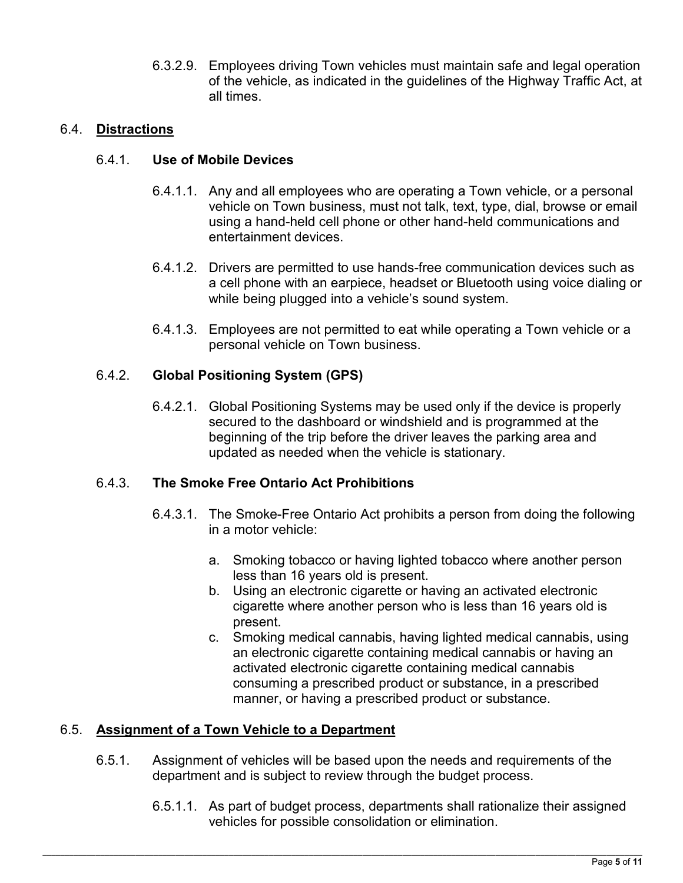6.3.2.9. Employees driving Town vehicles must maintain safe and legal operation of the vehicle, as indicated in the guidelines of the Highway Traffic Act, at all times.

## 6.4. **Distractions**

#### 6.4.1. **Use of Mobile Devices**

- 6.4.1.1. Any and all employees who are operating a Town vehicle, or a personal vehicle on Town business, must not talk, text, type, dial, browse or email using a hand-held cell phone or other hand-held communications and entertainment devices.
- 6.4.1.2. Drivers are permitted to use hands-free communication devices such as a cell phone with an earpiece, headset or Bluetooth using voice dialing or while being plugged into a vehicle's sound system.
- 6.4.1.3. Employees are not permitted to eat while operating a Town vehicle or a personal vehicle on Town business.

## 6.4.2. **Global Positioning System (GPS)**

6.4.2.1. Global Positioning Systems may be used only if the device is properly secured to the dashboard or windshield and is programmed at the beginning of the trip before the driver leaves the parking area and updated as needed when the vehicle is stationary.

#### 6.4.3. **The Smoke Free Ontario Act Prohibitions**

- 6.4.3.1. The Smoke-Free Ontario Act prohibits a person from doing the following in a motor vehicle:
	- a. Smoking tobacco or having lighted tobacco where another person less than 16 years old is present.
	- b. Using an electronic cigarette or having an activated electronic cigarette where another person who is less than 16 years old is present.
	- c. Smoking medical cannabis, having lighted medical cannabis, using an electronic cigarette containing medical cannabis or having an activated electronic cigarette containing medical cannabis consuming a prescribed product or substance, in a prescribed manner, or having a prescribed product or substance.

## 6.5. **Assignment of a Town Vehicle to a Department**

- 6.5.1. Assignment of vehicles will be based upon the needs and requirements of the department and is subject to review through the budget process.
	- 6.5.1.1. As part of budget process, departments shall rationalize their assigned vehicles for possible consolidation or elimination.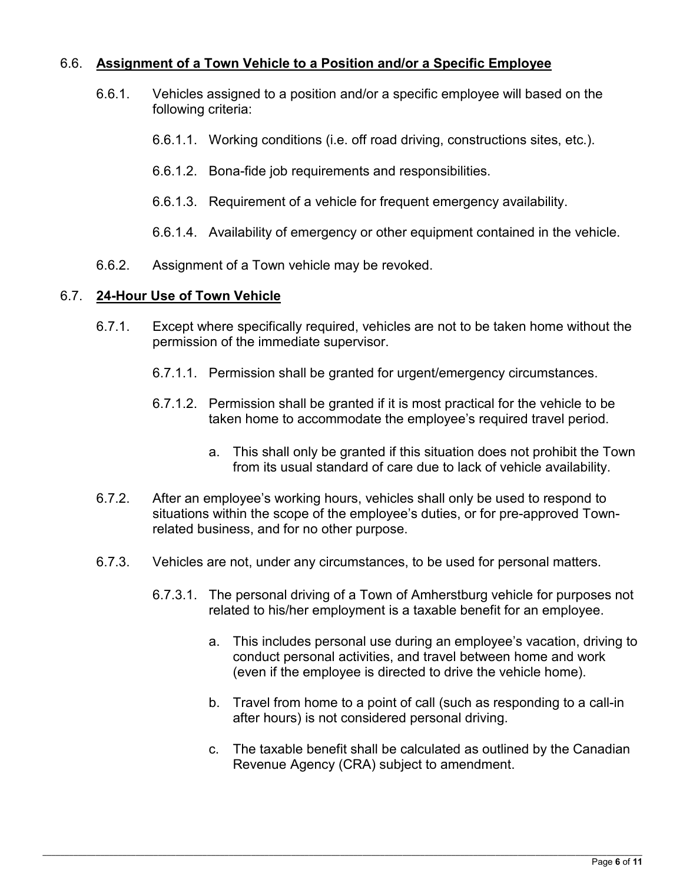## 6.6. **Assignment of a Town Vehicle to a Position and/or a Specific Employee**

- 6.6.1. Vehicles assigned to a position and/or a specific employee will based on the following criteria:
	- 6.6.1.1. Working conditions (i.e. off road driving, constructions sites, etc.).
	- 6.6.1.2. Bona-fide job requirements and responsibilities.
	- 6.6.1.3. Requirement of a vehicle for frequent emergency availability.
	- 6.6.1.4. Availability of emergency or other equipment contained in the vehicle.
- 6.6.2. Assignment of a Town vehicle may be revoked.

#### 6.7. **24-Hour Use of Town Vehicle**

- 6.7.1. Except where specifically required, vehicles are not to be taken home without the permission of the immediate supervisor.
	- 6.7.1.1. Permission shall be granted for urgent/emergency circumstances.
	- 6.7.1.2. Permission shall be granted if it is most practical for the vehicle to be taken home to accommodate the employee's required travel period.
		- a. This shall only be granted if this situation does not prohibit the Town from its usual standard of care due to lack of vehicle availability.
- 6.7.2. After an employee's working hours, vehicles shall only be used to respond to situations within the scope of the employee's duties, or for pre-approved Townrelated business, and for no other purpose.
- 6.7.3. Vehicles are not, under any circumstances, to be used for personal matters.
	- 6.7.3.1. The personal driving of a Town of Amherstburg vehicle for purposes not related to his/her employment is a taxable benefit for an employee.
		- a. This includes personal use during an employee's vacation, driving to conduct personal activities, and travel between home and work (even if the employee is directed to drive the vehicle home).
		- b. Travel from home to a point of call (such as responding to a call-in after hours) is not considered personal driving.
		- c. The taxable benefit shall be calculated as outlined by the Canadian Revenue Agency (CRA) subject to amendment.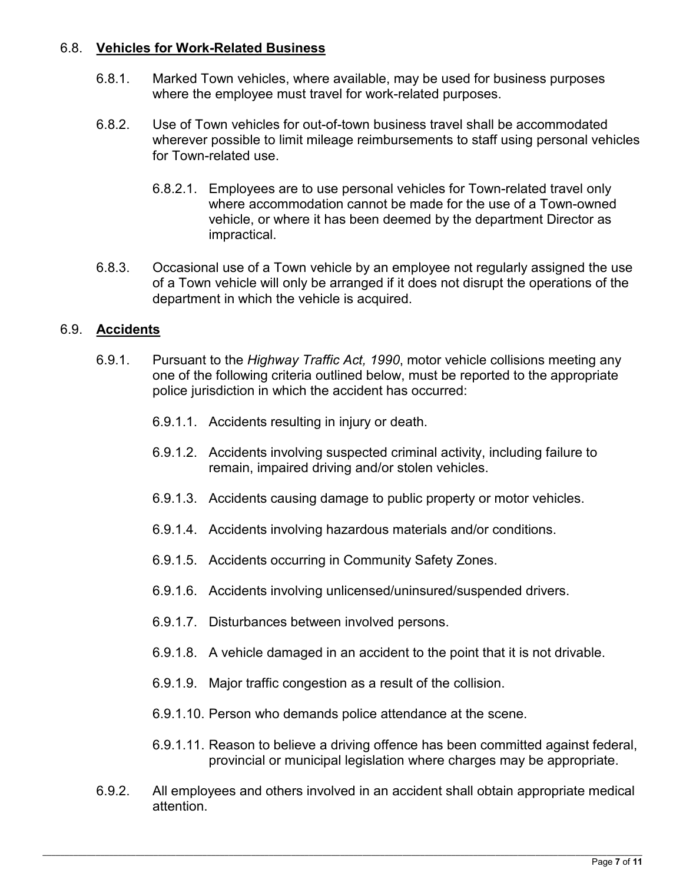## 6.8. **Vehicles for Work-Related Business**

- 6.8.1. Marked Town vehicles, where available, may be used for business purposes where the employee must travel for work-related purposes.
- 6.8.2. Use of Town vehicles for out-of-town business travel shall be accommodated wherever possible to limit mileage reimbursements to staff using personal vehicles for Town-related use.
	- 6.8.2.1. Employees are to use personal vehicles for Town-related travel only where accommodation cannot be made for the use of a Town-owned vehicle, or where it has been deemed by the department Director as impractical.
- 6.8.3. Occasional use of a Town vehicle by an employee not regularly assigned the use of a Town vehicle will only be arranged if it does not disrupt the operations of the department in which the vehicle is acquired.

## 6.9. **Accidents**

- 6.9.1. Pursuant to the *Highway Traffic Act, 1990*, motor vehicle collisions meeting any one of the following criteria outlined below, must be reported to the appropriate police jurisdiction in which the accident has occurred:
	- 6.9.1.1. Accidents resulting in injury or death.
	- 6.9.1.2. Accidents involving suspected criminal activity, including failure to remain, impaired driving and/or stolen vehicles.
	- 6.9.1.3. Accidents causing damage to public property or motor vehicles.
	- 6.9.1.4. Accidents involving hazardous materials and/or conditions.
	- 6.9.1.5. Accidents occurring in Community Safety Zones.
	- 6.9.1.6. Accidents involving unlicensed/uninsured/suspended drivers.
	- 6.9.1.7. Disturbances between involved persons.
	- 6.9.1.8. A vehicle damaged in an accident to the point that it is not drivable.
	- 6.9.1.9. Major traffic congestion as a result of the collision.
	- 6.9.1.10. Person who demands police attendance at the scene.
	- 6.9.1.11. Reason to believe a driving offence has been committed against federal, provincial or municipal legislation where charges may be appropriate.
- 6.9.2. All employees and others involved in an accident shall obtain appropriate medical attention.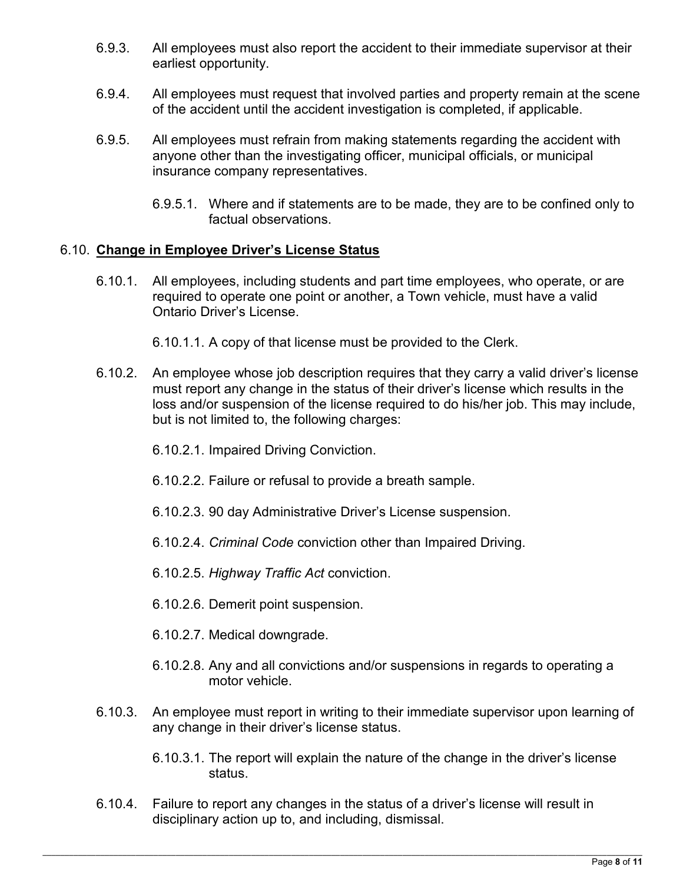- 6.9.3. All employees must also report the accident to their immediate supervisor at their earliest opportunity.
- 6.9.4. All employees must request that involved parties and property remain at the scene of the accident until the accident investigation is completed, if applicable.
- 6.9.5. All employees must refrain from making statements regarding the accident with anyone other than the investigating officer, municipal officials, or municipal insurance company representatives.
	- 6.9.5.1. Where and if statements are to be made, they are to be confined only to factual observations.

## 6.10. **Change in Employee Driver's License Status**

6.10.1. All employees, including students and part time employees, who operate, or are required to operate one point or another, a Town vehicle, must have a valid Ontario Driver's License.

6.10.1.1. A copy of that license must be provided to the Clerk.

- 6.10.2. An employee whose job description requires that they carry a valid driver's license must report any change in the status of their driver's license which results in the loss and/or suspension of the license required to do his/her job. This may include, but is not limited to, the following charges:
	- 6.10.2.1. Impaired Driving Conviction.
	- 6.10.2.2. Failure or refusal to provide a breath sample.
	- 6.10.2.3. 90 day Administrative Driver's License suspension.
	- 6.10.2.4. *Criminal Code* conviction other than Impaired Driving.
	- 6.10.2.5. *Highway Traffic Act* conviction.
	- 6.10.2.6. Demerit point suspension.
	- 6.10.2.7. Medical downgrade.
	- 6.10.2.8. Any and all convictions and/or suspensions in regards to operating a motor vehicle.
- 6.10.3. An employee must report in writing to their immediate supervisor upon learning of any change in their driver's license status.
	- 6.10.3.1. The report will explain the nature of the change in the driver's license status.
- 6.10.4. Failure to report any changes in the status of a driver's license will result in disciplinary action up to, and including, dismissal.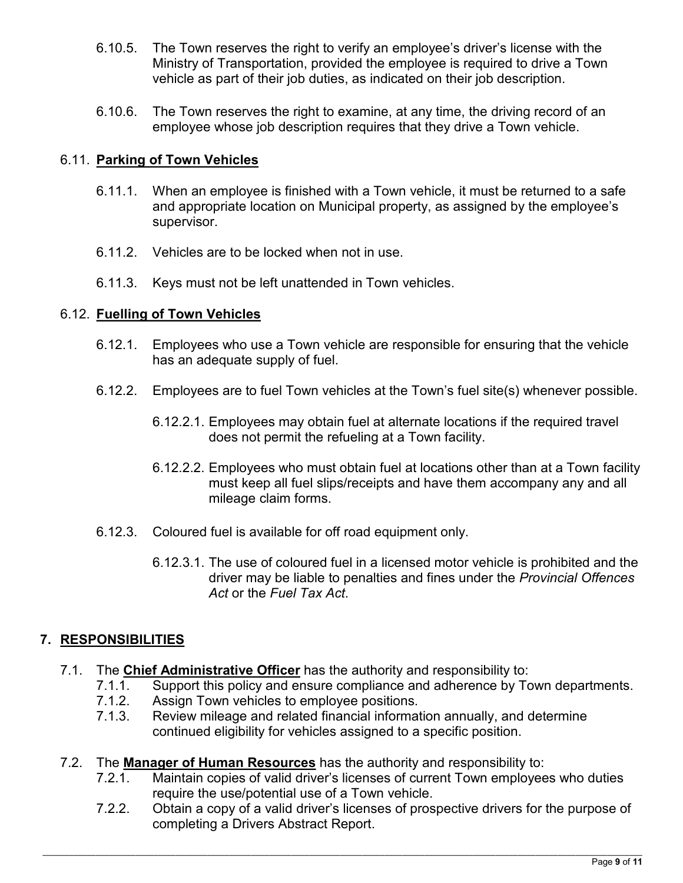- 6.10.5. The Town reserves the right to verify an employee's driver's license with the Ministry of Transportation, provided the employee is required to drive a Town vehicle as part of their job duties, as indicated on their job description.
- 6.10.6. The Town reserves the right to examine, at any time, the driving record of an employee whose job description requires that they drive a Town vehicle.

## 6.11. **Parking of Town Vehicles**

- 6.11.1. When an employee is finished with a Town vehicle, it must be returned to a safe and appropriate location on Municipal property, as assigned by the employee's supervisor.
- 6.11.2. Vehicles are to be locked when not in use.
- 6.11.3. Keys must not be left unattended in Town vehicles.

#### 6.12. **Fuelling of Town Vehicles**

- 6.12.1. Employees who use a Town vehicle are responsible for ensuring that the vehicle has an adequate supply of fuel.
- 6.12.2. Employees are to fuel Town vehicles at the Town's fuel site(s) whenever possible.
	- 6.12.2.1. Employees may obtain fuel at alternate locations if the required travel does not permit the refueling at a Town facility.
	- 6.12.2.2. Employees who must obtain fuel at locations other than at a Town facility must keep all fuel slips/receipts and have them accompany any and all mileage claim forms.
- 6.12.3. Coloured fuel is available for off road equipment only.
	- 6.12.3.1. The use of coloured fuel in a licensed motor vehicle is prohibited and the driver may be liable to penalties and fines under the *Provincial Offences Act* or the *Fuel Tax Act*.

#### **7. RESPONSIBILITIES**

- 7.1. The **Chief Administrative Officer** has the authority and responsibility to:
	- 7.1.1. Support this policy and ensure compliance and adherence by Town departments.<br>7.1.2. Assian Town vehicles to emplovee positions.
	- Assign Town vehicles to employee positions.
	- 7.1.3. Review mileage and related financial information annually, and determine continued eligibility for vehicles assigned to a specific position.
- 7.2. The **Manager of Human Resources** has the authority and responsibility to:
	- 7.2.1. Maintain copies of valid driver's licenses of current Town employees who duties require the use/potential use of a Town vehicle.
	- 7.2.2. Obtain a copy of a valid driver's licenses of prospective drivers for the purpose of completing a Drivers Abstract Report.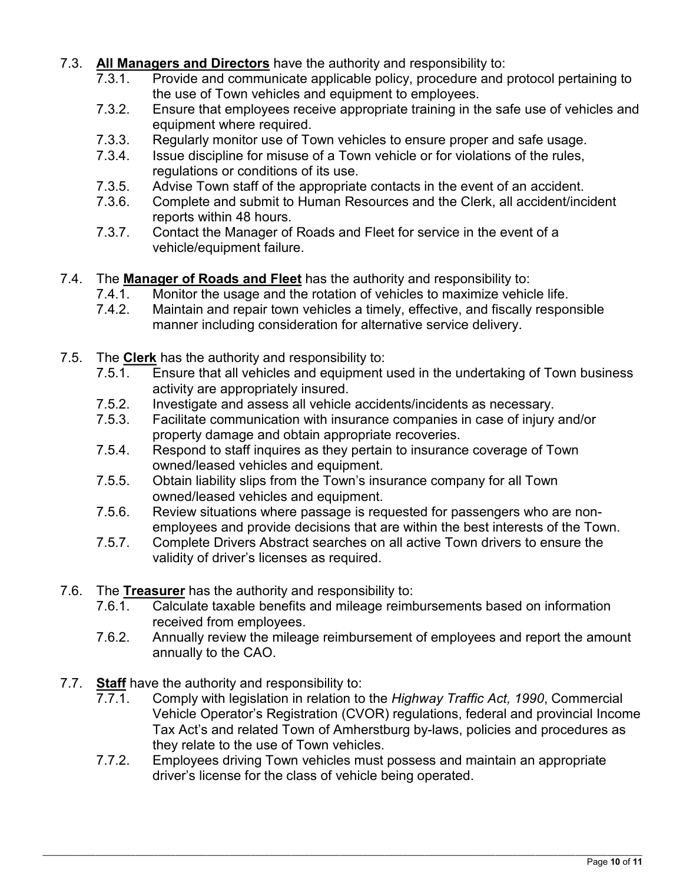- 7.3. **All Managers and Directors** have the authority and responsibility to:
	- 7.3.1. Provide and communicate applicable policy, procedure and protocol pertaining to the use of Town vehicles and equipment to employees.
	- 7.3.2. Ensure that employees receive appropriate training in the safe use of vehicles and equipment where required.
	- 7.3.3. Regularly monitor use of Town vehicles to ensure proper and safe usage.
	- 7.3.4. Issue discipline for misuse of a Town vehicle or for violations of the rules, regulations or conditions of its use.
	- 7.3.5. Advise Town staff of the appropriate contacts in the event of an accident.
	- 7.3.6. Complete and submit to Human Resources and the Clerk, all accident/incident reports within 48 hours.
	- 7.3.7. Contact the Manager of Roads and Fleet for service in the event of a vehicle/equipment failure.
- 7.4. The **Manager of Roads and Fleet** has the authority and responsibility to:
	- 7.4.1. Monitor the usage and the rotation of vehicles to maximize vehicle life.
	- 7.4.2. Maintain and repair town vehicles a timely, effective, and fiscally responsible manner including consideration for alternative service delivery.
- 7.5. The **Clerk** has the authority and responsibility to:
	- 7.5.1. Ensure that all vehicles and equipment used in the undertaking of Town business activity are appropriately insured.
	- 7.5.2. Investigate and assess all vehicle accidents/incidents as necessary.
	- 7.5.3. Facilitate communication with insurance companies in case of injury and/or property damage and obtain appropriate recoveries.
	- 7.5.4. Respond to staff inquires as they pertain to insurance coverage of Town owned/leased vehicles and equipment.
	- 7.5.5. Obtain liability slips from the Town's insurance company for all Town owned/leased vehicles and equipment.
	- 7.5.6. Review situations where passage is requested for passengers who are nonemployees and provide decisions that are within the best interests of the Town.
	- 7.5.7. Complete Drivers Abstract searches on all active Town drivers to ensure the validity of driver's licenses as required.
- 7.6. The **Treasurer** has the authority and responsibility to:
	- 7.6.1. Calculate taxable benefits and mileage reimbursements based on information received from employees.
	- 7.6.2. Annually review the mileage reimbursement of employees and report the amount annually to the CAO.
- 7.7. **Staff** have the authority and responsibility to:
	- 7.7.1. Comply with legislation in relation to the *Highway Traffic Act, 1990*, Commercial Vehicle Operator's Registration (CVOR) regulations, federal and provincial Income Tax Act's and related Town of Amherstburg by-laws, policies and procedures as they relate to the use of Town vehicles.
	- 7.7.2. Employees driving Town vehicles must possess and maintain an appropriate driver's license for the class of vehicle being operated.